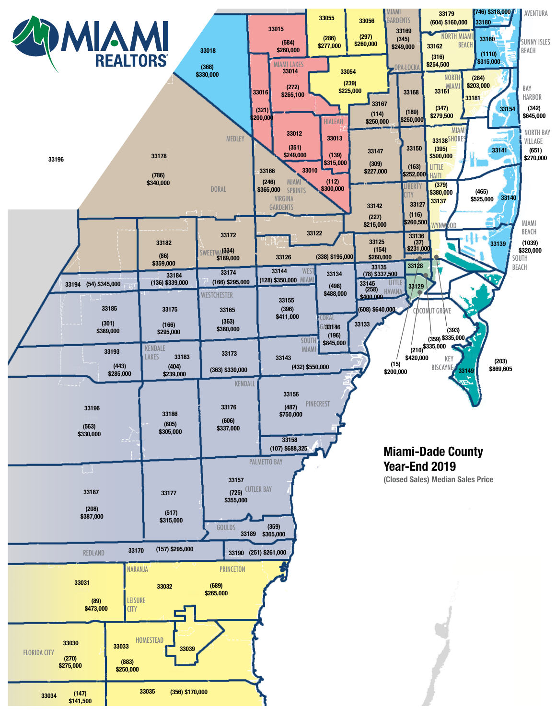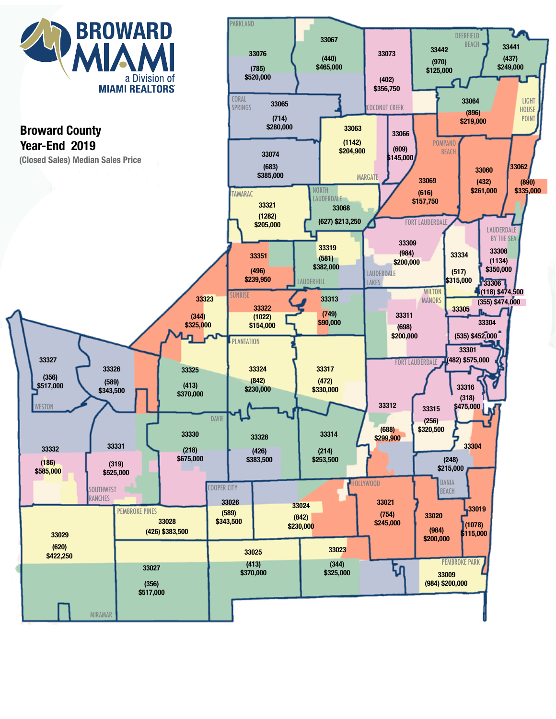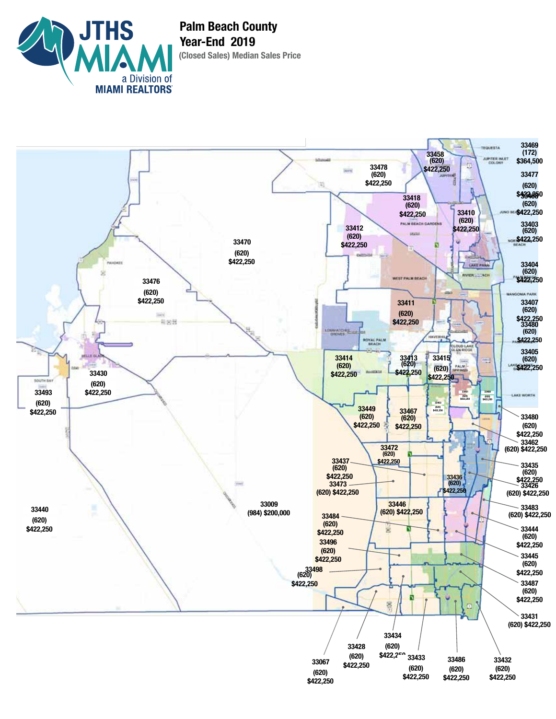

**(Closed Sales) Median Sales Price Palm Beach County Year-End 2019**